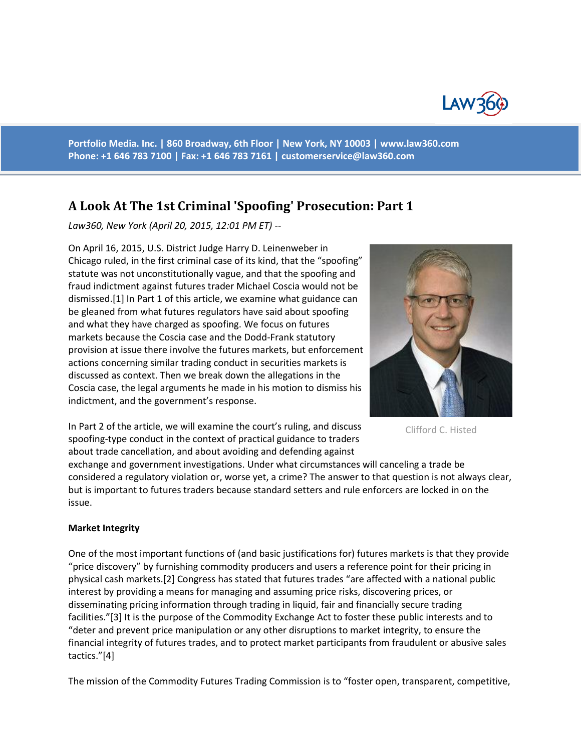

**Portfolio Media. Inc. | 860 Broadway, 6th Floor | New York, NY 10003 | www.law360.com Phone: +1 646 783 7100 | Fax: +1 646 783 7161 | [customerservice@law360.com](mailto:customerservice@law360.com)**

# **A Look At The 1st Criminal 'Spoofing' Prosecution: Part 1**

*Law360, New York (April 20, 2015, 12:01 PM ET) --*

On April 16, 2015, U.S. District Judge Harry D. Leinenweber in Chicago ruled, in the first criminal case of its kind, that the "spoofing" statute was not unconstitutionally vague, and that the spoofing and fraud indictment against futures trader Michael Coscia would not be dismissed.[1] In Part 1 of this article, we examine what guidance can be gleaned from what futures regulators have said about spoofing and what they have charged as spoofing. We focus on futures markets because the Coscia case and the Dodd-Frank statutory provision at issue there involve the futures markets, but enforcement actions concerning similar trading conduct in securities markets is discussed as context. Then we break down the allegations in the Coscia case, the legal arguments he made in his motion to dismiss his indictment, and the government's response.



Clifford C. Histed

In Part 2 of the article, we will examine the court's ruling, and discuss spoofing-type conduct in the context of practical guidance to traders about trade cancellation, and about avoiding and defending against

exchange and government investigations. Under what circumstances will canceling a trade be considered a regulatory violation or, worse yet, a crime? The answer to that question is not always clear, but is important to futures traders because standard setters and rule enforcers are locked in on the issue.

#### **Market Integrity**

One of the most important functions of (and basic justifications for) futures markets is that they provide "price discovery" by furnishing commodity producers and users a reference point for their pricing in physical cash markets.[2] Congress has stated that futures trades "are affected with a national public interest by providing a means for managing and assuming price risks, discovering prices, or disseminating pricing information through trading in liquid, fair and financially secure trading facilities."[3] It is the purpose of the Commodity Exchange Act to foster these public interests and to "deter and prevent price manipulation or any other disruptions to market integrity, to ensure the financial integrity of futures trades, and to protect market participants from fraudulent or abusive sales tactics."[4]

The mission of the Commodity Futures Trading Commission is to "foster open, transparent, competitive,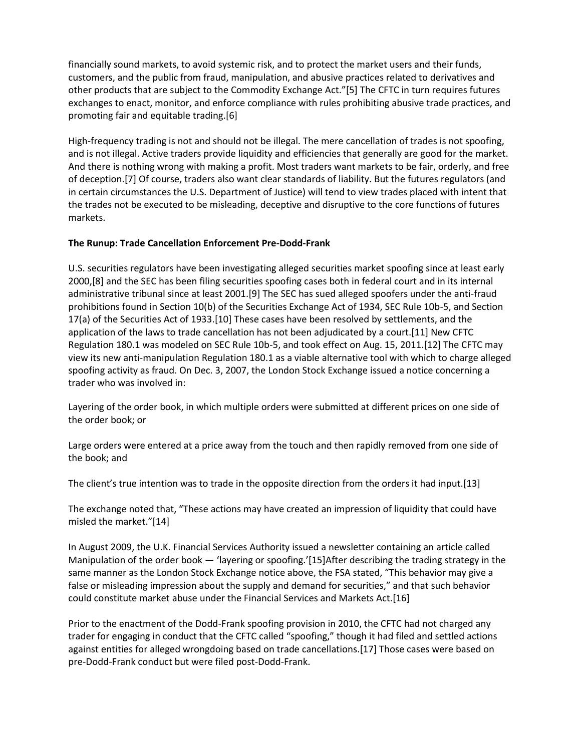financially sound markets, to avoid systemic risk, and to protect the market users and their funds, customers, and the public from fraud, manipulation, and abusive practices related to derivatives and other products that are subject to the Commodity Exchange Act."[5] The CFTC in turn requires futures exchanges to enact, monitor, and enforce compliance with rules prohibiting abusive trade practices, and promoting fair and equitable trading.[6]

High-frequency trading is not and should not be illegal. The mere cancellation of trades is not spoofing, and is not illegal. Active traders provide liquidity and efficiencies that generally are good for the market. And there is nothing wrong with making a profit. Most traders want markets to be fair, orderly, and free of deception.[7] Of course, traders also want clear standards of liability. But the futures regulators (and in certain circumstances the U.S. Department of Justice) will tend to view trades placed with intent that the trades not be executed to be misleading, deceptive and disruptive to the core functions of futures markets.

## **The Runup: Trade Cancellation Enforcement Pre-Dodd-Frank**

U.S. securities regulators have been investigating alleged securities market spoofing since at least early 2000,[8] and the SEC has been filing securities spoofing cases both in federal court and in its internal administrative tribunal since at least 2001.[9] The SEC has sued alleged spoofers under the anti-fraud prohibitions found in Section 10(b) of the Securities Exchange Act of 1934, SEC Rule 10b-5, and Section 17(a) of the Securities Act of 1933.[10] These cases have been resolved by settlements, and the application of the laws to trade cancellation has not been adjudicated by a court.[11] New CFTC Regulation 180.1 was modeled on SEC Rule 10b-5, and took effect on Aug. 15, 2011.[12] The CFTC may view its new anti-manipulation Regulation 180.1 as a viable alternative tool with which to charge alleged spoofing activity as fraud. On Dec. 3, 2007, the London Stock Exchange issued a notice concerning a trader who was involved in:

Layering of the order book, in which multiple orders were submitted at different prices on one side of the order book; or

Large orders were entered at a price away from the touch and then rapidly removed from one side of the book; and

The client's true intention was to trade in the opposite direction from the orders it had input.[13]

The exchange noted that, "These actions may have created an impression of liquidity that could have misled the market."[14]

In August 2009, the U.K. Financial Services Authority issued a newsletter containing an article called Manipulation of the order book — 'layering or spoofing.'[15]After describing the trading strategy in the same manner as the London Stock Exchange notice above, the FSA stated, "This behavior may give a false or misleading impression about the supply and demand for securities," and that such behavior could constitute market abuse under the Financial Services and Markets Act.[16]

Prior to the enactment of the Dodd-Frank spoofing provision in 2010, the CFTC had not charged any trader for engaging in conduct that the CFTC called "spoofing," though it had filed and settled actions against entities for alleged wrongdoing based on trade cancellations.[17] Those cases were based on pre-Dodd-Frank conduct but were filed post-Dodd-Frank.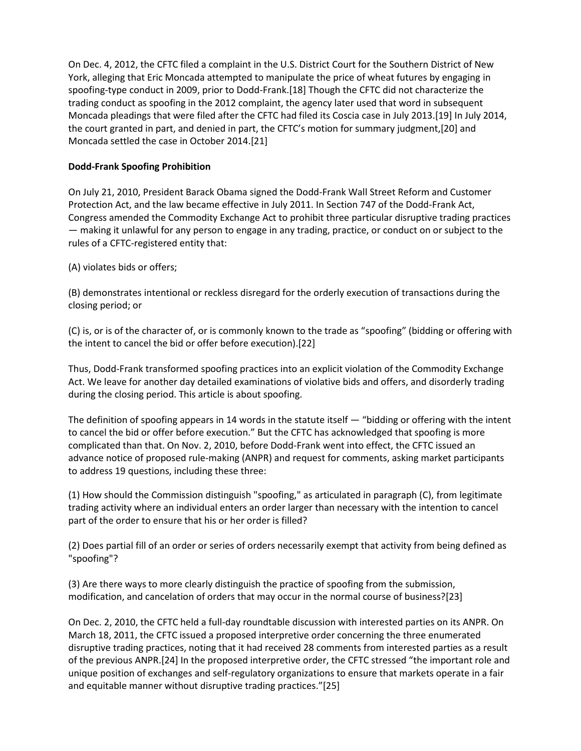On Dec. 4, 2012, the CFTC filed a complaint in the U.S. District Court for the Southern District of New York, alleging that Eric Moncada attempted to manipulate the price of wheat futures by engaging in spoofing-type conduct in 2009, prior to Dodd-Frank.[18] Though the CFTC did not characterize the trading conduct as spoofing in the 2012 complaint, the agency later used that word in subsequent Moncada pleadings that were filed after the CFTC had filed its Coscia case in July 2013.[19] In July 2014, the court granted in part, and denied in part, the CFTC's motion for summary judgment,[20] and Moncada settled the case in October 2014.[21]

## **Dodd-Frank Spoofing Prohibition**

On July 21, 2010, President Barack Obama signed the Dodd-Frank Wall Street Reform and Customer Protection Act, and the law became effective in July 2011. In Section 747 of the Dodd-Frank Act, Congress amended the Commodity Exchange Act to prohibit three particular disruptive trading practices — making it unlawful for any person to engage in any trading, practice, or conduct on or subject to the rules of a CFTC-registered entity that:

## (A) violates bids or offers;

(B) demonstrates intentional or reckless disregard for the orderly execution of transactions during the closing period; or

(C) is, or is of the character of, or is commonly known to the trade as "spoofing" (bidding or offering with the intent to cancel the bid or offer before execution).[22]

Thus, Dodd-Frank transformed spoofing practices into an explicit violation of the Commodity Exchange Act. We leave for another day detailed examinations of violative bids and offers, and disorderly trading during the closing period. This article is about spoofing.

The definition of spoofing appears in 14 words in the statute itself — "bidding or offering with the intent to cancel the bid or offer before execution." But the CFTC has acknowledged that spoofing is more complicated than that. On Nov. 2, 2010, before Dodd-Frank went into effect, the CFTC issued an advance notice of proposed rule-making (ANPR) and request for comments, asking market participants to address 19 questions, including these three:

(1) How should the Commission distinguish "spoofing," as articulated in paragraph (C), from legitimate trading activity where an individual enters an order larger than necessary with the intention to cancel part of the order to ensure that his or her order is filled?

(2) Does partial fill of an order or series of orders necessarily exempt that activity from being defined as "spoofing"?

(3) Are there ways to more clearly distinguish the practice of spoofing from the submission, modification, and cancelation of orders that may occur in the normal course of business?[23]

On Dec. 2, 2010, the CFTC held a full-day roundtable discussion with interested parties on its ANPR. On March 18, 2011, the CFTC issued a proposed interpretive order concerning the three enumerated disruptive trading practices, noting that it had received 28 comments from interested parties as a result of the previous ANPR.[24] In the proposed interpretive order, the CFTC stressed "the important role and unique position of exchanges and self-regulatory organizations to ensure that markets operate in a fair and equitable manner without disruptive trading practices."[25]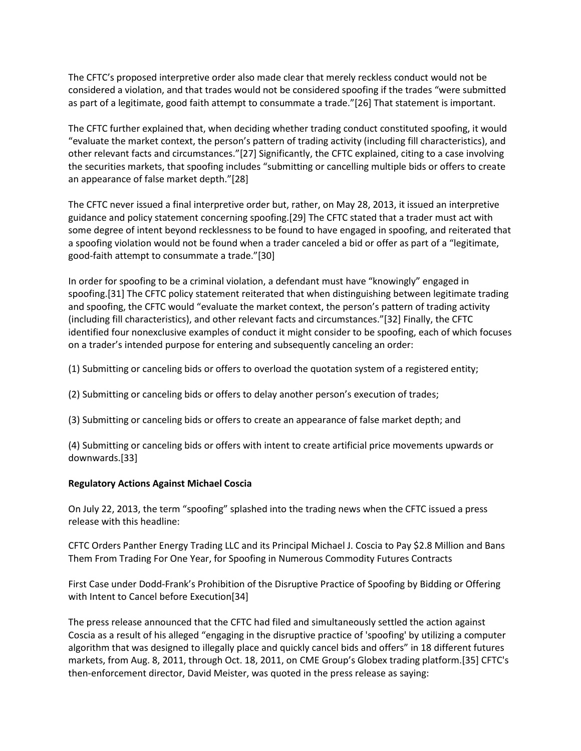The CFTC's proposed interpretive order also made clear that merely reckless conduct would not be considered a violation, and that trades would not be considered spoofing if the trades "were submitted as part of a legitimate, good faith attempt to consummate a trade."[26] That statement is important.

The CFTC further explained that, when deciding whether trading conduct constituted spoofing, it would "evaluate the market context, the person's pattern of trading activity (including fill characteristics), and other relevant facts and circumstances."[27] Significantly, the CFTC explained, citing to a case involving the securities markets, that spoofing includes "submitting or cancelling multiple bids or offers to create an appearance of false market depth."[28]

The CFTC never issued a final interpretive order but, rather, on May 28, 2013, it issued an interpretive guidance and policy statement concerning spoofing.[29] The CFTC stated that a trader must act with some degree of intent beyond recklessness to be found to have engaged in spoofing, and reiterated that a spoofing violation would not be found when a trader canceled a bid or offer as part of a "legitimate, good-faith attempt to consummate a trade."[30]

In order for spoofing to be a criminal violation, a defendant must have "knowingly" engaged in spoofing.[31] The CFTC policy statement reiterated that when distinguishing between legitimate trading and spoofing, the CFTC would "evaluate the market context, the person's pattern of trading activity (including fill characteristics), and other relevant facts and circumstances."[32] Finally, the CFTC identified four nonexclusive examples of conduct it might consider to be spoofing, each of which focuses on a trader's intended purpose for entering and subsequently canceling an order:

(1) Submitting or canceling bids or offers to overload the quotation system of a registered entity;

(2) Submitting or canceling bids or offers to delay another person's execution of trades;

(3) Submitting or canceling bids or offers to create an appearance of false market depth; and

(4) Submitting or canceling bids or offers with intent to create artificial price movements upwards or downwards.[33]

#### **Regulatory Actions Against Michael Coscia**

On July 22, 2013, the term "spoofing" splashed into the trading news when the CFTC issued a press release with this headline:

CFTC Orders Panther Energy Trading LLC and its Principal Michael J. Coscia to Pay \$2.8 Million and Bans Them From Trading For One Year, for Spoofing in Numerous Commodity Futures Contracts

First Case under Dodd-Frank's Prohibition of the Disruptive Practice of Spoofing by Bidding or Offering with Intent to Cancel before Execution[34]

The press release announced that the CFTC had filed and simultaneously settled the action against Coscia as a result of his alleged "engaging in the disruptive practice of 'spoofing' by utilizing a computer algorithm that was designed to illegally place and quickly cancel bids and offers" in 18 different futures markets, from Aug. 8, 2011, through Oct. 18, 2011, on CME Group's Globex trading platform.[35] CFTC's then-enforcement director, David Meister, was quoted in the press release as saying: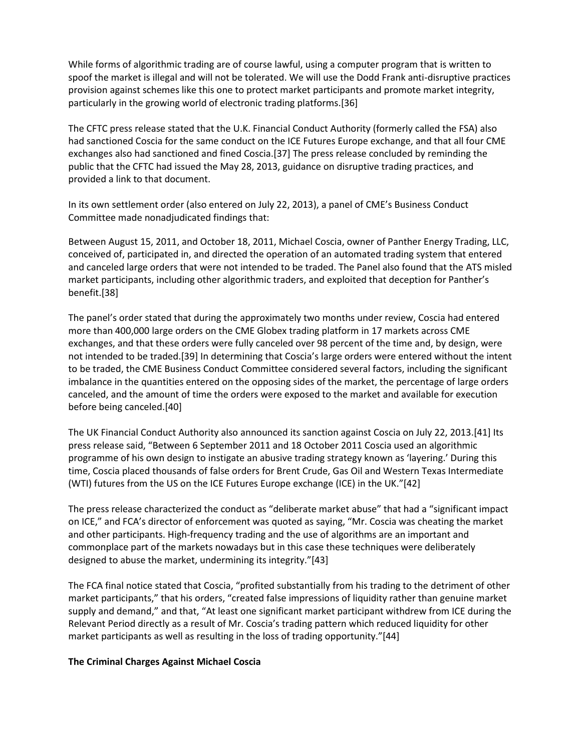While forms of algorithmic trading are of course lawful, using a computer program that is written to spoof the market is illegal and will not be tolerated. We will use the Dodd Frank anti-disruptive practices provision against schemes like this one to protect market participants and promote market integrity, particularly in the growing world of electronic trading platforms.[36]

The CFTC press release stated that the U.K. Financial Conduct Authority (formerly called the FSA) also had sanctioned Coscia for the same conduct on the ICE Futures Europe exchange, and that all four CME exchanges also had sanctioned and fined Coscia.[37] The press release concluded by reminding the public that the CFTC had issued the May 28, 2013, guidance on disruptive trading practices, and provided a link to that document.

In its own settlement order (also entered on July 22, 2013), a panel of CME's Business Conduct Committee made nonadjudicated findings that:

Between August 15, 2011, and October 18, 2011, Michael Coscia, owner of Panther Energy Trading, LLC, conceived of, participated in, and directed the operation of an automated trading system that entered and canceled large orders that were not intended to be traded. The Panel also found that the ATS misled market participants, including other algorithmic traders, and exploited that deception for Panther's benefit.[38]

The panel's order stated that during the approximately two months under review, Coscia had entered more than 400,000 large orders on the CME Globex trading platform in 17 markets across CME exchanges, and that these orders were fully canceled over 98 percent of the time and, by design, were not intended to be traded.[39] In determining that Coscia's large orders were entered without the intent to be traded, the CME Business Conduct Committee considered several factors, including the significant imbalance in the quantities entered on the opposing sides of the market, the percentage of large orders canceled, and the amount of time the orders were exposed to the market and available for execution before being canceled.[40]

The UK Financial Conduct Authority also announced its sanction against Coscia on July 22, 2013.[41] Its press release said, "Between 6 September 2011 and 18 October 2011 Coscia used an algorithmic programme of his own design to instigate an abusive trading strategy known as 'layering.' During this time, Coscia placed thousands of false orders for Brent Crude, Gas Oil and Western Texas Intermediate (WTI) futures from the US on the ICE Futures Europe exchange (ICE) in the UK."[42]

The press release characterized the conduct as "deliberate market abuse" that had a "significant impact on ICE," and FCA's director of enforcement was quoted as saying, "Mr. Coscia was cheating the market and other participants. High-frequency trading and the use of algorithms are an important and commonplace part of the markets nowadays but in this case these techniques were deliberately designed to abuse the market, undermining its integrity."[43]

The FCA final notice stated that Coscia, "profited substantially from his trading to the detriment of other market participants," that his orders, "created false impressions of liquidity rather than genuine market supply and demand," and that, "At least one significant market participant withdrew from ICE during the Relevant Period directly as a result of Mr. Coscia's trading pattern which reduced liquidity for other market participants as well as resulting in the loss of trading opportunity."[44]

#### **The Criminal Charges Against Michael Coscia**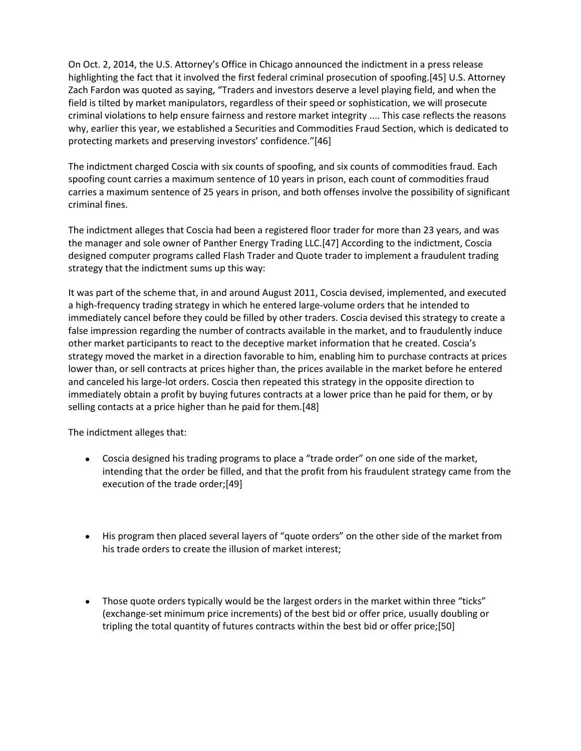On Oct. 2, 2014, the U.S. Attorney's Office in Chicago announced the indictment in a press release highlighting the fact that it involved the first federal criminal prosecution of spoofing.[45] U.S. Attorney Zach Fardon was quoted as saying, "Traders and investors deserve a level playing field, and when the field is tilted by market manipulators, regardless of their speed or sophistication, we will prosecute criminal violations to help ensure fairness and restore market integrity .... This case reflects the reasons why, earlier this year, we established a Securities and Commodities Fraud Section, which is dedicated to protecting markets and preserving investors' confidence."[46]

The indictment charged Coscia with six counts of spoofing, and six counts of commodities fraud. Each spoofing count carries a maximum sentence of 10 years in prison, each count of commodities fraud carries a maximum sentence of 25 years in prison, and both offenses involve the possibility of significant criminal fines.

The indictment alleges that Coscia had been a registered floor trader for more than 23 years, and was the manager and sole owner of Panther Energy Trading LLC.[47] According to the indictment, Coscia designed computer programs called Flash Trader and Quote trader to implement a fraudulent trading strategy that the indictment sums up this way:

It was part of the scheme that, in and around August 2011, Coscia devised, implemented, and executed a high-frequency trading strategy in which he entered large-volume orders that he intended to immediately cancel before they could be filled by other traders. Coscia devised this strategy to create a false impression regarding the number of contracts available in the market, and to fraudulently induce other market participants to react to the deceptive market information that he created. Coscia's strategy moved the market in a direction favorable to him, enabling him to purchase contracts at prices lower than, or sell contracts at prices higher than, the prices available in the market before he entered and canceled his large-lot orders. Coscia then repeated this strategy in the opposite direction to immediately obtain a profit by buying futures contracts at a lower price than he paid for them, or by selling contacts at a price higher than he paid for them.[48]

The indictment alleges that:

- Coscia designed his trading programs to place a "trade order" on one side of the market, intending that the order be filled, and that the profit from his fraudulent strategy came from the execution of the trade order;[49]
- His program then placed several layers of "quote orders" on the other side of the market from his trade orders to create the illusion of market interest;
- Those quote orders typically would be the largest orders in the market within three "ticks" (exchange-set minimum price increments) of the best bid or offer price, usually doubling or tripling the total quantity of futures contracts within the best bid or offer price;[50]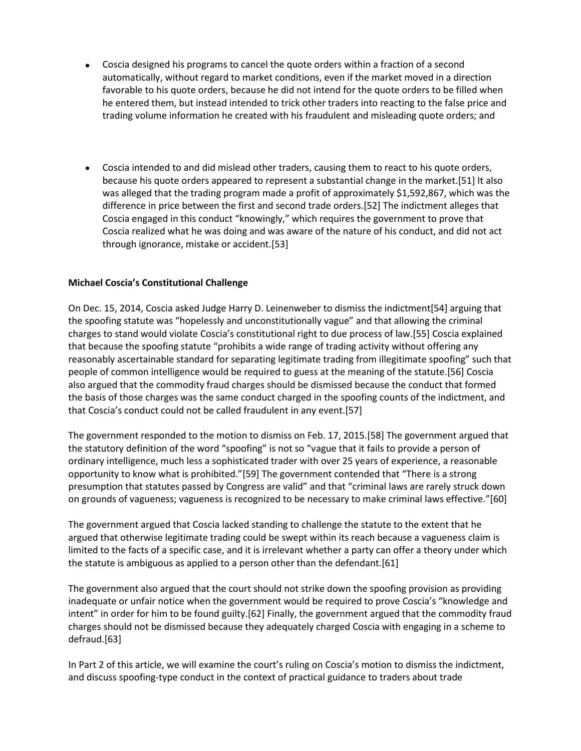- Coscia designed his programs to cancel the quote orders within a fraction of a second automatically, without regard to market conditions, even if the market moved in a direction favorable to his quote orders, because he did not intend for the quote orders to be filled when he entered them, but instead intended to trick other traders into reacting to the false price and trading volume information he created with his fraudulent and misleading quote orders; and
- Coscia intended to and did mislead other traders, causing them to react to his quote orders, because his quote orders appeared to represent a substantial change in the market.[51] It also was alleged that the trading program made a profit of approximately \$1,592,867, which was the difference in price between the first and second trade orders.[52] The indictment alleges that Coscia engaged in this conduct "knowingly," which requires the government to prove that Coscia realized what he was doing and was aware of the nature of his conduct, and did not act through ignorance, mistake or accident.[53]

#### **Michael Coscia's Constitutional Challenge**

On Dec. 15, 2014, Coscia asked Judge Harry D. Leinenweber to dismiss the indictment[54] arguing that the spoofing statute was "hopelessly and unconstitutionally vague" and that allowing the criminal charges to stand would violate Coscia's constitutional right to due process of law.[55] Coscia explained that because the spoofing statute "prohibits a wide range of trading activity without offering any reasonably ascertainable standard for separating legitimate trading from illegitimate spoofing" such that people of common intelligence would be required to guess at the meaning of the statute.[56] Coscia also argued that the commodity fraud charges should be dismissed because the conduct that formed the basis of those charges was the same conduct charged in the spoofing counts of the indictment, and that Coscia's conduct could not be called fraudulent in any event.[57]

The government responded to the motion to dismiss on Feb. 17, 2015.[58] The government argued that the statutory definition of the word "spoofing" is not so "vague that it fails to provide a person of ordinary intelligence, much less a sophisticated trader with over 25 years of experience, a reasonable opportunity to know what is prohibited."[59] The government contended that "There is a strong presumption that statutes passed by Congress are valid" and that "criminal laws are rarely struck down on grounds of vagueness; vagueness is recognized to be necessary to make criminal laws effective."[60]

The government argued that Coscia lacked standing to challenge the statute to the extent that he argued that otherwise legitimate trading could be swept within its reach because a vagueness claim is limited to the facts of a specific case, and it is irrelevant whether a party can offer a theory under which the statute is ambiguous as applied to a person other than the defendant.[61]

The government also argued that the court should not strike down the spoofing provision as providing inadequate or unfair notice when the government would be required to prove Coscia's "knowledge and intent" in order for him to be found guilty.[62] Finally, the government argued that the commodity fraud charges should not be dismissed because they adequately charged Coscia with engaging in a scheme to defraud.[63]

In Part 2 of this article, we will examine the court's ruling on Coscia's motion to dismiss the indictment, and discuss spoofing-type conduct in the context of practical guidance to traders about trade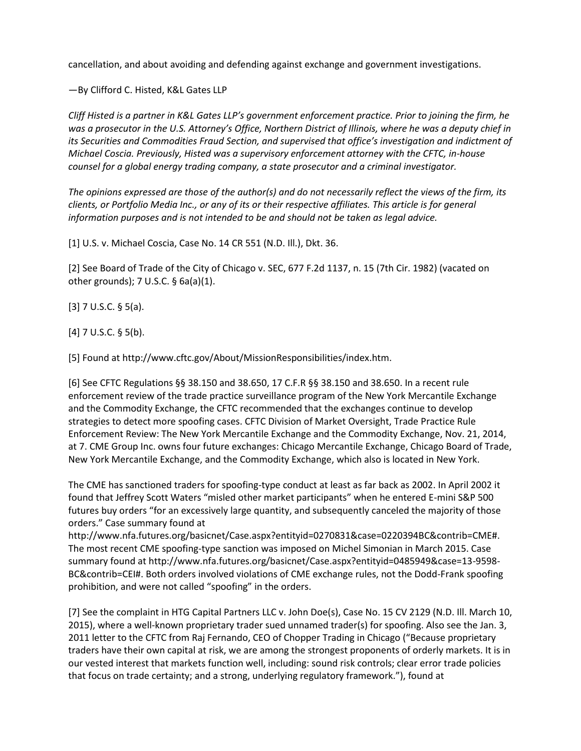cancellation, and about avoiding and defending against exchange and government investigations.

—By Clifford C. Histed, K&L Gates LLP

*Cliff Histed is a partner in K&L Gates LLP's government enforcement practice. Prior to joining the firm, he was a prosecutor in the U.S. Attorney's Office, Northern District of Illinois, where he was a deputy chief in its Securities and Commodities Fraud Section, and supervised that office's investigation and indictment of Michael Coscia. Previously, Histed was a supervisory enforcement attorney with the CFTC, in-house counsel for a global energy trading company, a state prosecutor and a criminal investigator.*

*The opinions expressed are those of the author(s) and do not necessarily reflect the views of the firm, its clients, or Portfolio Media Inc., or any of its or their respective affiliates. This article is for general information purposes and is not intended to be and should not be taken as legal advice.*

[1] U.S. v. Michael Coscia, Case No. 14 CR 551 (N.D. Ill.), Dkt. 36.

[2] See Board of Trade of the City of Chicago v. SEC, 677 F.2d 1137, n. 15 (7th Cir. 1982) (vacated on other grounds); 7 U.S.C. § 6a(a)(1).

 $[3]$  7 U.S.C. § 5(a).

 $[4]$  7 U.S.C. § 5(b).

[5] Found at http://www.cftc.gov/About/MissionResponsibilities/index.htm.

[6] See CFTC Regulations §§ 38.150 and 38.650, 17 C.F.R §§ 38.150 and 38.650. In a recent rule enforcement review of the trade practice surveillance program of the New York Mercantile Exchange and the Commodity Exchange, the CFTC recommended that the exchanges continue to develop strategies to detect more spoofing cases. CFTC Division of Market Oversight, Trade Practice Rule Enforcement Review: The New York Mercantile Exchange and the Commodity Exchange, Nov. 21, 2014, at 7. CME Group Inc. owns four future exchanges: Chicago Mercantile Exchange, Chicago Board of Trade, New York Mercantile Exchange, and the Commodity Exchange, which also is located in New York.

The CME has sanctioned traders for spoofing-type conduct at least as far back as 2002. In April 2002 it found that Jeffrey Scott Waters "misled other market participants" when he entered E-mini S&P 500 futures buy orders "for an excessively large quantity, and subsequently canceled the majority of those orders." Case summary found at

http://www.nfa.futures.org/basicnet/Case.aspx?entityid=0270831&case=0220394BC&contrib=CME#. The most recent CME spoofing-type sanction was imposed on Michel Simonian in March 2015. Case summary found at http://www.nfa.futures.org/basicnet/Case.aspx?entityid=0485949&case=13-9598- BC&contrib=CEI#. Both orders involved violations of CME exchange rules, not the Dodd-Frank spoofing prohibition, and were not called "spoofing" in the orders.

[7] See the complaint in HTG Capital Partners LLC v. John Doe(s), Case No. 15 CV 2129 (N.D. Ill. March 10, 2015), where a well-known proprietary trader sued unnamed trader(s) for spoofing. Also see the Jan. 3, 2011 letter to the CFTC from Raj Fernando, CEO of Chopper Trading in Chicago ("Because proprietary traders have their own capital at risk, we are among the strongest proponents of orderly markets. It is in our vested interest that markets function well, including: sound risk controls; clear error trade policies that focus on trade certainty; and a strong, underlying regulatory framework."), found at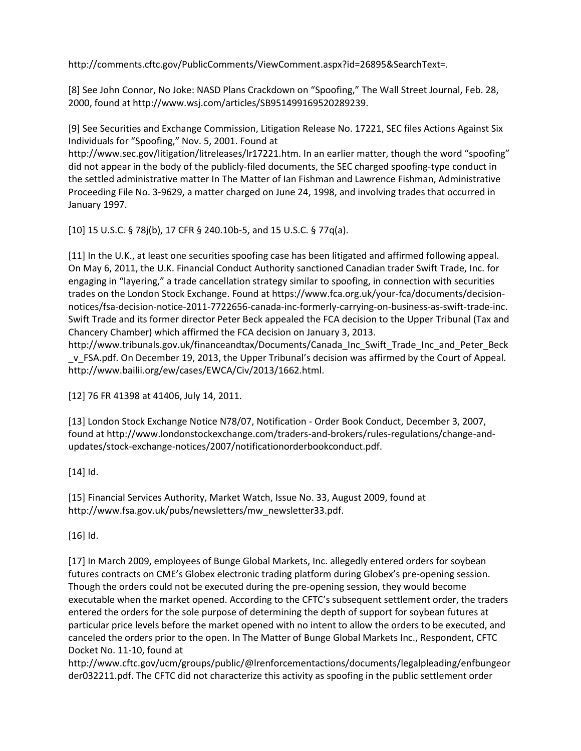http://comments.cftc.gov/PublicComments/ViewComment.aspx?id=26895&SearchText=.

[8] See John Connor, No Joke: NASD Plans Crackdown on "Spoofing," The Wall Street Journal, Feb. 28, 2000, found at http://www.wsj.com/articles/SB951499169520289239.

[9] See Securities and Exchange Commission, Litigation Release No. 17221, SEC files Actions Against Six Individuals for "Spoofing," Nov. 5, 2001. Found at

http://www.sec.gov/litigation/litreleases/lr17221.htm. In an earlier matter, though the word "spoofing" did not appear in the body of the publicly-filed documents, the SEC charged spoofing-type conduct in the settled administrative matter In The Matter of Ian Fishman and Lawrence Fishman, Administrative Proceeding File No. 3-9629, a matter charged on June 24, 1998, and involving trades that occurred in January 1997.

[10] 15 U.S.C. § 78j(b), 17 CFR § 240.10b-5, and 15 U.S.C. § 77q(a).

[11] In the U.K., at least one securities spoofing case has been litigated and affirmed following appeal. On May 6, 2011, the U.K. Financial Conduct Authority sanctioned Canadian trader Swift Trade, Inc. for engaging in "layering," a trade cancellation strategy similar to spoofing, in connection with securities trades on the London Stock Exchange. Found at https://www.fca.org.uk/your-fca/documents/decisionnotices/fsa-decision-notice-2011-7722656-canada-inc-formerly-carrying-on-business-as-swift-trade-inc. Swift Trade and its former director Peter Beck appealed the FCA decision to the Upper Tribunal (Tax and Chancery Chamber) which affirmed the FCA decision on January 3, 2013.

http://www.tribunals.gov.uk/financeandtax/Documents/Canada\_Inc\_Swift\_Trade\_Inc\_and\_Peter\_Beck \_v\_FSA.pdf. On December 19, 2013, the Upper Tribunal's decision was affirmed by the Court of Appeal. http://www.bailii.org/ew/cases/EWCA/Civ/2013/1662.html.

[12] 76 FR 41398 at 41406, July 14, 2011.

[13] London Stock Exchange Notice N78/07, Notification - Order Book Conduct, December 3, 2007, found at http://www.londonstockexchange.com/traders-and-brokers/rules-regulations/change-andupdates/stock-exchange-notices/2007/notificationorderbookconduct.pdf.

# [14] Id.

[15] Financial Services Authority, Market Watch, Issue No. 33, August 2009, found at http://www.fsa.gov.uk/pubs/newsletters/mw\_newsletter33.pdf.

[16] Id.

[17] In March 2009, employees of Bunge Global Markets, Inc. allegedly entered orders for soybean futures contracts on CME's Globex electronic trading platform during Globex's pre-opening session. Though the orders could not be executed during the pre-opening session, they would become executable when the market opened. According to the CFTC's subsequent settlement order, the traders entered the orders for the sole purpose of determining the depth of support for soybean futures at particular price levels before the market opened with no intent to allow the orders to be executed, and canceled the orders prior to the open. In The Matter of Bunge Global Markets Inc., Respondent, CFTC Docket No. 11-10, found at

http://www.cftc.gov/ucm/groups/public/@lrenforcementactions/documents/legalpleading/enfbungeor der032211.pdf. The CFTC did not characterize this activity as spoofing in the public settlement order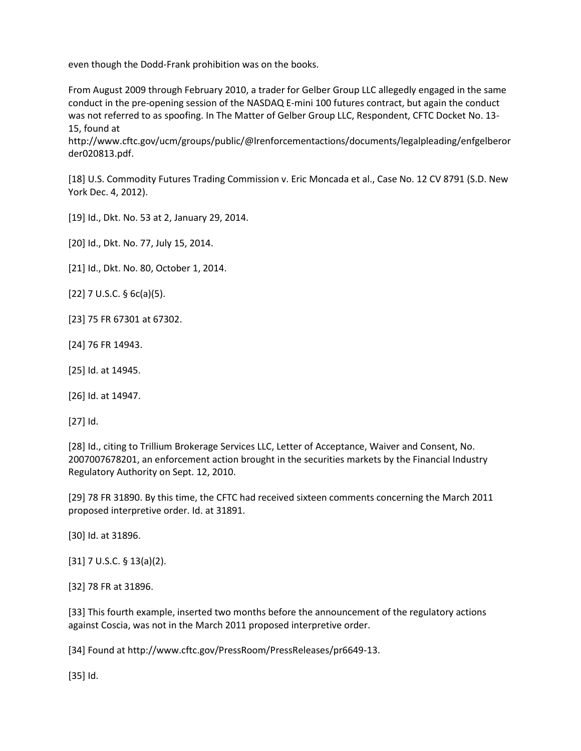even though the Dodd-Frank prohibition was on the books.

From August 2009 through February 2010, a trader for Gelber Group LLC allegedly engaged in the same conduct in the pre-opening session of the NASDAQ E-mini 100 futures contract, but again the conduct was not referred to as spoofing. In The Matter of Gelber Group LLC, Respondent, CFTC Docket No. 13- 15, found at

http://www.cftc.gov/ucm/groups/public/@lrenforcementactions/documents/legalpleading/enfgelberor der020813.pdf.

[18] U.S. Commodity Futures Trading Commission v. Eric Moncada et al., Case No. 12 CV 8791 (S.D. New York Dec. 4, 2012).

[19] Id., Dkt. No. 53 at 2, January 29, 2014.

[20] Id., Dkt. No. 77, July 15, 2014.

[21] Id., Dkt. No. 80, October 1, 2014.

 $[22]$  7 U.S.C. § 6c(a)(5).

- [23] 75 FR 67301 at 67302.
- [24] 76 FR 14943.
- [25] Id. at 14945.

[26] Id. at 14947.

[27] Id.

[28] Id., citing to Trillium Brokerage Services LLC, Letter of Acceptance, Waiver and Consent, No. 2007007678201, an enforcement action brought in the securities markets by the Financial Industry Regulatory Authority on Sept. 12, 2010.

[29] 78 FR 31890. By this time, the CFTC had received sixteen comments concerning the March 2011 proposed interpretive order. Id. at 31891.

[30] Id. at 31896.

 $[31]$  7 U.S.C. § 13(a)(2).

[32] 78 FR at 31896.

[33] This fourth example, inserted two months before the announcement of the regulatory actions against Coscia, was not in the March 2011 proposed interpretive order.

[34] Found at http://www.cftc.gov/PressRoom/PressReleases/pr6649-13.

[35] Id.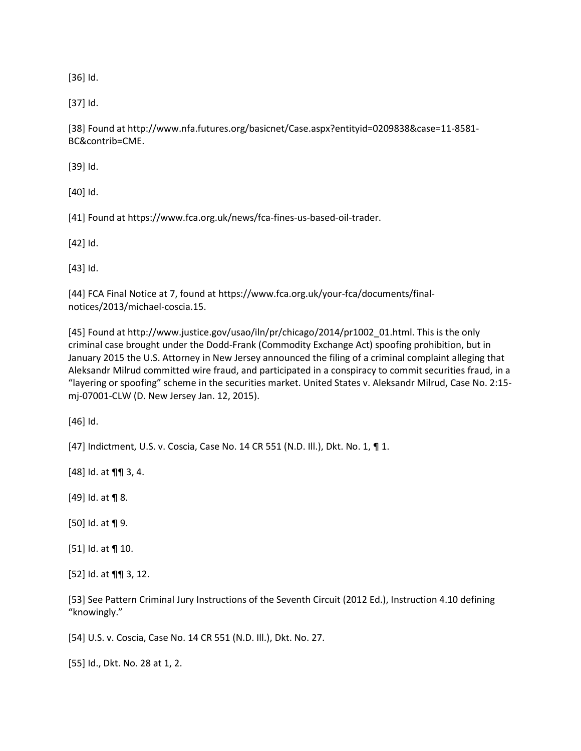[36] Id.

[37] Id.

[38] Found at http://www.nfa.futures.org/basicnet/Case.aspx?entityid=0209838&case=11-8581- BC&contrib=CME.

[39] Id.

[40] Id.

[41] Found at https://www.fca.org.uk/news/fca-fines-us-based-oil-trader.

[42] Id.

[43] Id.

[44] FCA Final Notice at 7, found at https://www.fca.org.uk/your-fca/documents/finalnotices/2013/michael-coscia.15.

[45] Found at http://www.justice.gov/usao/iln/pr/chicago/2014/pr1002\_01.html. This is the only criminal case brought under the Dodd-Frank (Commodity Exchange Act) spoofing prohibition, but in January 2015 the U.S. Attorney in New Jersey announced the filing of a criminal complaint alleging that Aleksandr Milrud committed wire fraud, and participated in a conspiracy to commit securities fraud, in a "layering or spoofing" scheme in the securities market. United States v. Aleksandr Milrud, Case No. 2:15 mj-07001-CLW (D. New Jersey Jan. 12, 2015).

[46] Id.

[47] Indictment, U.S. v. Coscia, Case No. 14 CR 551 (N.D. Ill.), Dkt. No. 1, ¶ 1.

[48] Id. at ¶¶ 3, 4.

 $[49]$  Id. at  $\P$  8.

[50] Id. at ¶ 9.

[51] Id. at ¶ 10.

[52] Id. at ¶¶ 3, 12.

[53] See Pattern Criminal Jury Instructions of the Seventh Circuit (2012 Ed.), Instruction 4.10 defining "knowingly."

[54] U.S. v. Coscia, Case No. 14 CR 551 (N.D. Ill.), Dkt. No. 27.

[55] Id., Dkt. No. 28 at 1, 2.